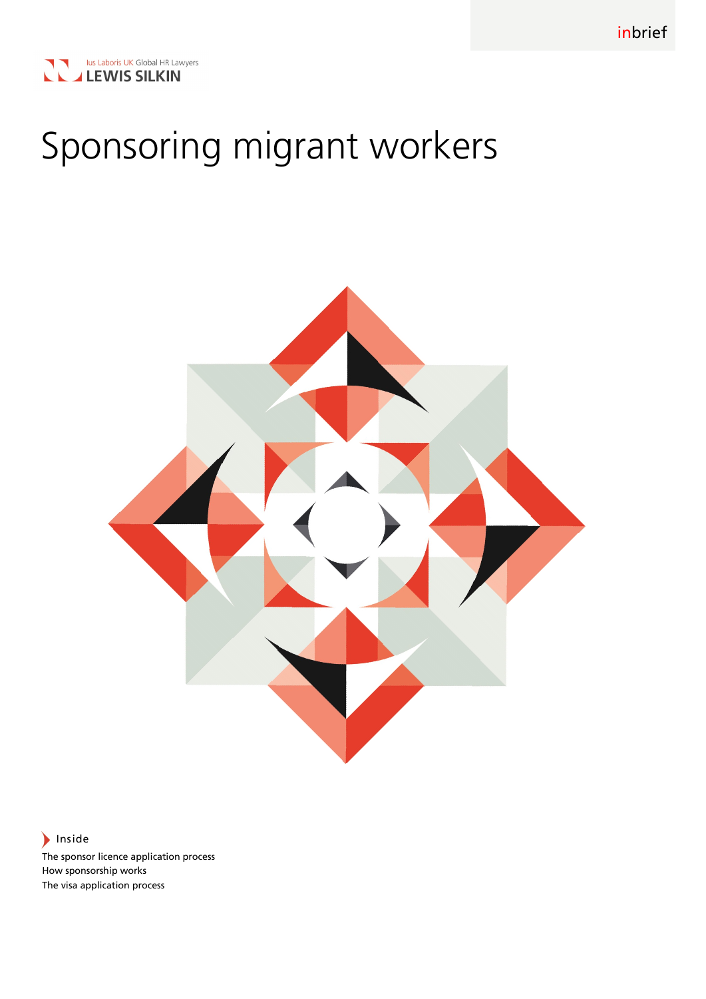

# Sponsoring migrant workers



Inside

The sponsor licence application process How sponsorship works The visa application process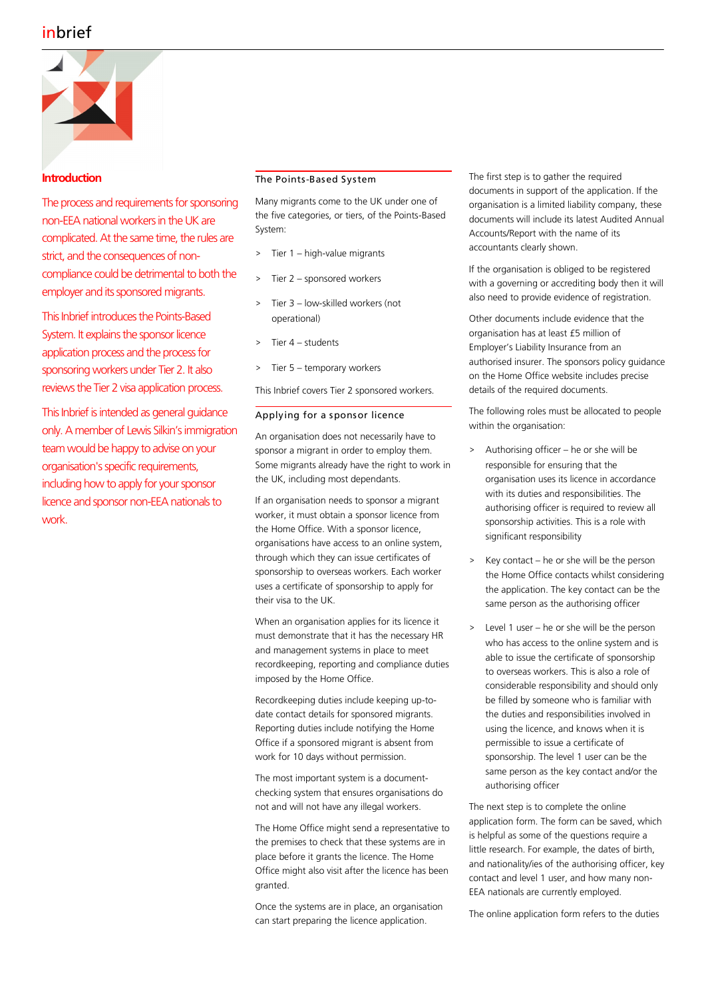

## **Introduction**

The process and requirements for sponsoring non-EEA national workers in the UK are complicated. At the same time, the rules are strict, and the consequences of noncompliance could be detrimental to both the employer and its sponsored migrants.

This Inbrief introduces the Points-Based System. It explains the sponsor licence application process and the process for sponsoring workers under Tier 2. It also reviews the Tier 2 visa application process.

This Inbrief is intended as general guidance only. A member of Lewis Silkin's immigration team would be happy to advise on your organisation's specific requirements, including how to apply for your sponsor licence and sponsor non-EEA nationals to work.

### The Points-Based System

Many migrants come to the UK under one of the five categories, or tiers, of the Points-Based System:

- > Tier 1 high-value migrants
- Tier 2 sponsored workers
- Tier 3 low-skilled workers (not operational)
- > Tier 4 students
- > Tier 5 temporary workers

This Inbrief covers Tier 2 sponsored workers.

### Applying for a sponsor licence

An organisation does not necessarily have to sponsor a migrant in order to employ them. Some migrants already have the right to work in the UK, including most dependants.

If an organisation needs to sponsor a migrant worker, it must obtain a sponsor licence from the Home Office. With a sponsor licence, organisations have access to an online system, through which they can issue certificates of sponsorship to overseas workers. Each worker uses a certificate of sponsorship to apply for their visa to the UK.

When an organisation applies for its licence it must demonstrate that it has the necessary HR and management systems in place to meet recordkeeping, reporting and compliance duties imposed by the Home Office.

Recordkeeping duties include keeping up-todate contact details for sponsored migrants. Reporting duties include notifying the Home Office if a sponsored migrant is absent from work for 10 days without permission.

The most important system is a documentchecking system that ensures organisations do not and will not have any illegal workers.

The Home Office might send a representative to the premises to check that these systems are in place before it grants the licence. The Home Office might also visit after the licence has been granted.

Once the systems are in place, an organisation can start preparing the licence application.

The first step is to gather the required documents in support of the application. If the organisation is a limited liability company, these documents will include its latest Audited Annual Accounts/Report with the name of its accountants clearly shown.

If the organisation is obliged to be registered with a governing or accrediting body then it will also need to provide evidence of registration.

Other documents include evidence that the organisation has at least £5 million of Employer's Liability Insurance from an authorised insurer. The sponsors policy guidance on the Home Office website includes precise details of the required documents.

The following roles must be allocated to people within the organisation:

- > Authorising officer he or she will be responsible for ensuring that the organisation uses its licence in accordance with its duties and responsibilities. The authorising officer is required to review all sponsorship activities. This is a role with significant responsibility
- > Key contact he or she will be the person the Home Office contacts whilst considering the application. The key contact can be the same person as the authorising officer
- > Level 1 user he or she will be the person who has access to the online system and is able to issue the certificate of sponsorship to overseas workers. This is also a role of considerable responsibility and should only be filled by someone who is familiar with the duties and responsibilities involved in using the licence, and knows when it is permissible to issue a certificate of sponsorship. The level 1 user can be the same person as the key contact and/or the authorising officer

The next step is to complete the online application form. The form can be saved, which is helpful as some of the questions require a little research. For example, the dates of birth, and nationality/ies of the authorising officer, key contact and level 1 user, and how many non-EEA nationals are currently employed.

The online application form refers to the duties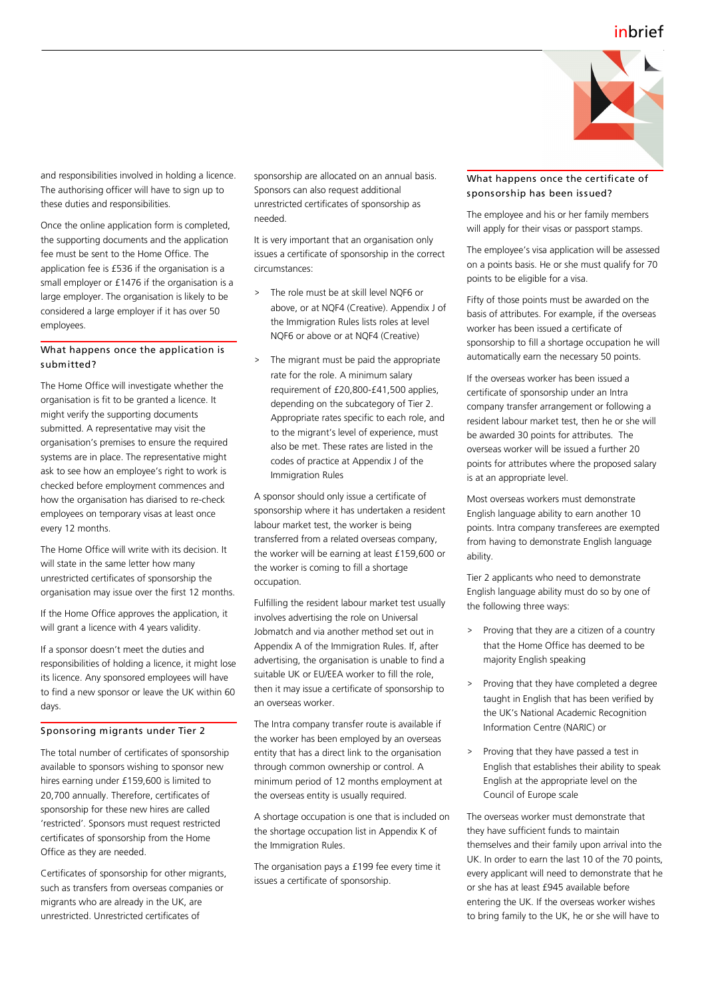

and responsibilities involved in holding a licence. The authorising officer will have to sign up to these duties and responsibilities.

Once the online application form is completed, the supporting documents and the application fee must be sent to the Home Office. The application fee is £536 if the organisation is a small employer or £1476 if the organisation is a large employer. The organisation is likely to be considered a large employer if it has over 50 employees.

#### What happens once the application is submitted?

The Home Office will investigate whether the organisation is fit to be granted a licence. It might verify the supporting documents submitted. A representative may visit the organisation's premises to ensure the required systems are in place. The representative might ask to see how an employee's right to work is checked before employment commences and how the organisation has diarised to re-check employees on temporary visas at least once every 12 months.

The Home Office will write with its decision. It will state in the same letter how many unrestricted certificates of sponsorship the organisation may issue over the first 12 months.

If the Home Office approves the application, it will grant a licence with 4 years validity.

If a sponsor doesn't meet the duties and responsibilities of holding a licence, it might lose its licence. Any sponsored employees will have to find a new sponsor or leave the UK within 60 days.

#### Sponsoring migrants under Tier 2

The total number of certificates of sponsorship available to sponsors wishing to sponsor new hires earning under £159,600 is limited to 20,700 annually. Therefore, certificates of sponsorship for these new hires are called 'restricted'. Sponsors must request restricted certificates of sponsorship from the Home Office as they are needed.

Certificates of sponsorship for other migrants, such as transfers from overseas companies or migrants who are already in the UK, are unrestricted. Unrestricted certificates of

sponsorship are allocated on an annual basis. Sponsors can also request additional unrestricted certificates of sponsorship as needed.

It is very important that an organisation only issues a certificate of sponsorship in the correct circumstances:

- > The role must be at skill level NQF6 or above, or at NQF4 (Creative). Appendix J of the Immigration Rules lists roles at level NQF6 or above or at NQF4 (Creative)
- The migrant must be paid the appropriate rate for the role. A minimum salary requirement of £20,800-£41,500 applies, depending on the subcategory of Tier 2. Appropriate rates specific to each role, and to the migrant's level of experience, must also be met. These rates are listed in the codes of practice at Appendix J of the Immigration Rules

A sponsor should only issue a certificate of sponsorship where it has undertaken a resident labour market test, the worker is being transferred from a related overseas company, the worker will be earning at least £159,600 or the worker is coming to fill a shortage occupation.

Fulfilling the resident labour market test usually involves advertising the role on Universal Jobmatch and via another method set out in Appendix A of the Immigration Rules. If, after advertising, the organisation is unable to find a suitable UK or EU/EEA worker to fill the role, then it may issue a certificate of sponsorship to an overseas worker.

The Intra company transfer route is available if the worker has been employed by an overseas entity that has a direct link to the organisation through common ownership or control. A minimum period of 12 months employment at the overseas entity is usually required.

A shortage occupation is one that is included on the shortage occupation list in Appendix K of the Immigration Rules.

The organisation pays a £199 fee every time it issues a certificate of sponsorship.

### What happens once the certificate of sponsorship has been issued?

The employee and his or her family members will apply for their visas or passport stamps.

The employee's visa application will be assessed on a points basis. He or she must qualify for 70 points to be eligible for a visa.

Fifty of those points must be awarded on the basis of attributes. For example, if the overseas worker has been issued a certificate of sponsorship to fill a shortage occupation he will automatically earn the necessary 50 points.

If the overseas worker has been issued a certificate of sponsorship under an Intra company transfer arrangement or following a resident labour market test, then he or she will be awarded 30 points for attributes. The overseas worker will be issued a further 20 points for attributes where the proposed salary is at an appropriate level.

Most overseas workers must demonstrate English language ability to earn another 10 points. Intra company transferees are exempted from having to demonstrate English language ability.

Tier 2 applicants who need to demonstrate English language ability must do so by one of the following three ways:

- > Proving that they are a citizen of a country that the Home Office has deemed to be majority English speaking
- > Proving that they have completed a degree taught in English that has been verified by the UK's National Academic Recognition Information Centre (NARIC) or
- > Proving that they have passed a test in English that establishes their ability to speak English at the appropriate level on the Council of Europe scale

The overseas worker must demonstrate that they have sufficient funds to maintain themselves and their family upon arrival into the UK. In order to earn the last 10 of the 70 points, every applicant will need to demonstrate that he or she has at least £945 available before entering the UK. If the overseas worker wishes to bring family to the UK, he or she will have to